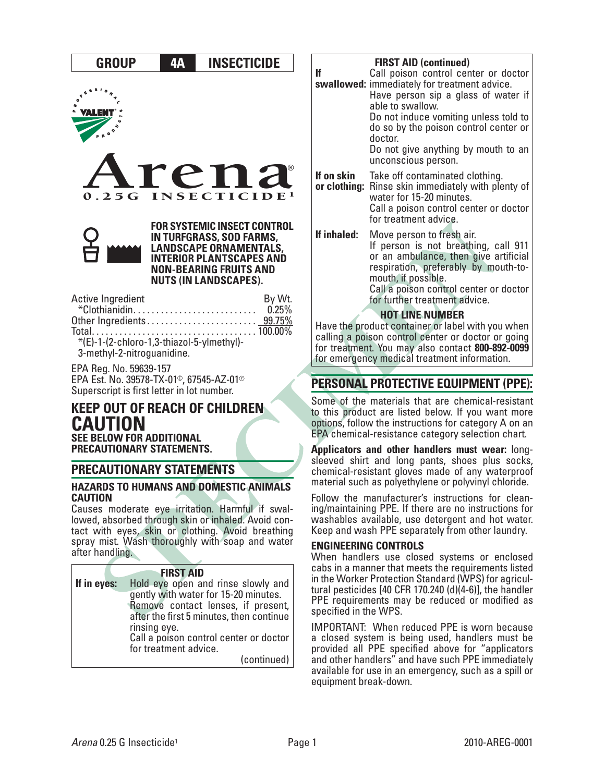# **GROUP 4A INSECTICIDE**





**FOR SYSTEMIC INSECT CONTROL IN TURFGRASS, SOD FARMS, LANDSCAPE ORNAMENTALS, INTERIOR PLANTSCAPES AND NON-BEARING FRUITS AND NUTS (IN LANDSCAPES).** 

| Active Ingredient                         | By Wt. |
|-------------------------------------------|--------|
|                                           |        |
|                                           |        |
|                                           |        |
| *(E)-1-(2-chloro-1,3-thiazol-5-ylmethyl)- |        |
| 3-methyl-2-nitroguanidine.                |        |

EPA Reg. No. 59639-157 EPA Est. No. 39578-TX-01®, 67545-AZ-01® Superscript is first letter in lot number.

# **KEEP OUT OF REACH OF CHILDREN CAUTION SEE BELOW FOR ADDITIONAL PRECAUTIONARY STATEMENTS.**

# **PRECAUTIONARY STATEMENTS**

#### **HAZARDS TO HUMANS AND DOMESTIC ANIMALS CAUTION**

Causes moderate eye irritation. Harmful if swallowed, absorbed through skin or inhaled. Avoid contact with eyes, skin or clothing. Avoid breathing spray mist. Wash thoroughly with soap and water after handling.

| <b>FIRST AID</b> |                                          |  |  |  |
|------------------|------------------------------------------|--|--|--|
| If in eyes:      | Hold eye open and rinse slowly and       |  |  |  |
|                  | gently with water for 15-20 minutes.     |  |  |  |
|                  | Remove contact lenses, if present,       |  |  |  |
|                  | after the first 5 minutes, then continue |  |  |  |
| rinsing eye.     |                                          |  |  |  |
|                  | Call a poison control center or doctor   |  |  |  |
|                  | for treatment advice.                    |  |  |  |
|                  | (continued)                              |  |  |  |

#### **FIRST AID (continued) If swallowed:** immediately for treatment advice. Call poison control center or doctor Have person sip a glass of water if able to swallow. Do not induce vomiting unless told to do so by the poison control center or doctor. Do not give anything by mouth to an unconscious person. **If on skin or clothing:** Rinse skin immediately with plenty of Take off contaminated clothing. water for 15-20 minutes. Call a poison control center or doctor for treatment advice. **If inhaled:** Move person to fresh air. If person is not breathing, call 911 or an ambulance, then give artificial respiration, preferably by mouth-tomouth, if possible. Call a poison control center or doctor

for further treatment advice.

#### **HOT LINE NUMBER**

Have the product container or label with you when calling a poison control center or doctor or going for treatment. You may also contact **800-892-0099**  for emergency medical treatment information.

# **PERSONAL PROTECTIVE EQUIPMENT (PPE):**

Some of the materials that are chemical-resistant to this product are listed below. If you want more options, follow the instructions for category A on an EPA chemical-resistance category selection chart.

**Applicators and other handlers must wear:** longsleeved shirt and long pants, shoes plus socks, chemical-resistant gloves made of any waterproof material such as polyethylene or polyvinyl chloride.

Follow the manufacturer's instructions for cleaning/maintaining PPE. If there are no instructions for washables available, use detergent and hot water. Keep and wash PPE separately from other laundry.

#### **ENGINEERING CONTROLS**

When handlers use closed systems or enclosed cabs in a manner that meets the requirements listed in the Worker Protection Standard (WPS) for agricultural pesticides [40 CFR 170.240 (d)(4-6)], the handler PPE requirements may be reduced or modified as specified in the WPS.

IMPORTANT: When reduced PPE is worn because a closed system is being used, handlers must be provided all PPE specified above for "applicators and other handlers" and have such PPE immediately available for use in an emergency, such as a spill or equipment break-down.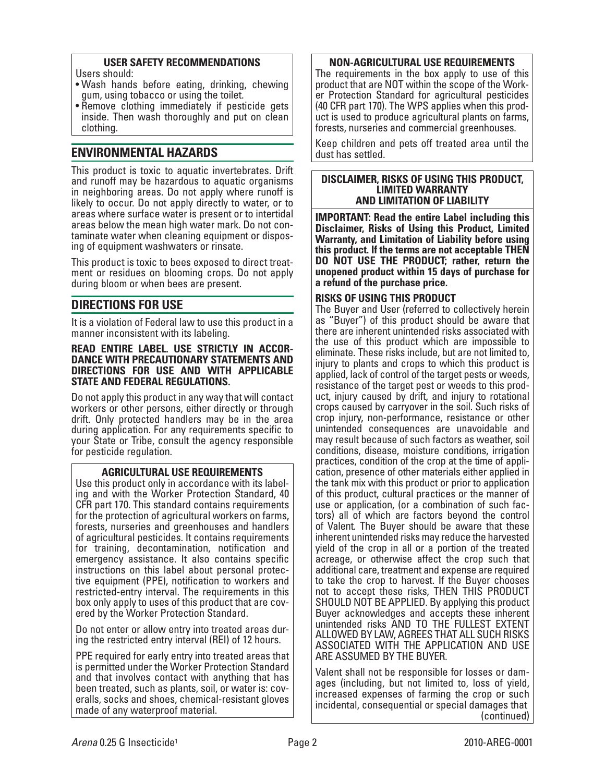#### **USER SAFETY RECOMMENDATIONS**

- Users should:
- Wash hands before eating, drinking, chewing gum, using tobacco or using the toilet.
- Remove clothing immediately if pesticide gets inside. Then wash thoroughly and put on clean clothing.

# **ENVIRONMENTAL HAZARDS**

This product is toxic to aquatic invertebrates. Drift and runoff may be hazardous to aquatic organisms in neighboring areas. Do not apply where runoff is likely to occur. Do not apply directly to water, or to areas where surface water is present or to intertidal areas below the mean high water mark. Do not contaminate water when cleaning equipment or disposing of equipment washwaters or rinsate.

This product is toxic to bees exposed to direct treatment or residues on blooming crops. Do not apply during bloom or when bees are present.

# **DIRECTIONS FOR USE**

It is a violation of Federal law to use this product in a manner inconsistent with its labeling.

#### **READ ENTIRE LABEL. USE STRICTLY IN ACCOR-DANCE WITH PRECAUTIONARY STATEMENTS AND DIRECTIONS FOR USE AND WITH APPLICABLE STATE AND FEDERAL REGULATIONS.**

Do not apply this product in any way that will contact workers or other persons, either directly or through drift. Only protected handlers may be in the area during application. For any requirements specific to your State or Tribe, consult the agency responsible for pesticide regulation.

# **AGRICULTURAL USE REQUIREMENTS**

Use this product only in accordance with its labeling and with the Worker Protection Standard, 40 CFR part 170. This standard contains requirements for the protection of agricultural workers on farms, forests, nurseries and greenhouses and handlers of agricultural pesticides. It contains requirements for training, decontamination, notification and emergency assistance. It also contains specific instructions on this label about personal protective equipment (PPE), notification to workers and restricted-entry interval. The requirements in this box only apply to uses of this product that are covered by the Worker Protection Standard.

Do not enter or allow entry into treated areas during the restricted entry interval (REI) of 12 hours.

PPE required for early entry into treated areas that is permitted under the Worker Protection Standard and that involves contact with anything that has been treated, such as plants, soil, or water is: coveralls, socks and shoes, chemical-resistant gloves made of any waterproof material.

#### **NON-AGRICULTURAL USE REQUIREMENTS**

The requirements in the box apply to use of this product that are NOT within the scope of the Worker Protection Standard for agricultural pesticides (40 CFR part 170). The WPS applies when this product is used to produce agricultural plants on farms, forests, nurseries and commercial greenhouses.

Keep children and pets off treated area until the dust has settled.

#### **DISCLAIMER, RISKS OF USING THIS PRODUCT, LIMITED WARRANTY AND LIMITATION OF LIABILITY**

**IMPORTANT: Read the entire Label including this Disclaimer, Risks of Using this Product, Limited Warranty, and Limitation of Liability before using this product. If the terms are not acceptable THEN DO NOT USE THE PRODUCT; rather, return the unopened product within 15 days of purchase for a refund of the purchase price.**

# **RISKS OF USING THIS PRODUCT**

The Buyer and User (referred to collectively herein as "Buyer") of this product should be aware that there are inherent unintended risks associated with the use of this product which are impossible to eliminate. These risks include, but are not limited to, injury to plants and crops to which this product is applied, lack of control of the target pests or weeds, resistance of the target pest or weeds to this product, injury caused by drift, and injury to rotational crops caused by carryover in the soil. Such risks of crop injury, non-performance, resistance or other unintended consequences are unavoidable and may result because of such factors as weather, soil conditions, disease, moisture conditions, irrigation practices, condition of the crop at the time of application, presence of other materials either applied in the tank mix with this product or prior to application of this product, cultural practices or the manner of use or application, (or a combination of such factors) all of which are factors beyond the control of Valent. The Buyer should be aware that these inherent unintended risks may reduce the harvested yield of the crop in all or a portion of the treated acreage, or otherwise affect the crop such that additional care, treatment and expense are required to take the crop to harvest. If the Buyer chooses not to accept these risks, THEN THIS PRODUCT SHOULD NOT BE APPLIED. By applying this product Buyer acknowledges and accepts these inherent unintended risks AND TO THE FULLEST EXTENT ALLOWED BY LAW, AGREES THAT ALL SUCH RISKS ASSOCIATED WITH THE APPLICATION AND USE ARE ASSUMED BY THE BUYER.

Valent shall not be responsible for losses or damages (including, but not limited to, loss of yield, increased expenses of farming the crop or such incidental, consequential or special damages that (continued)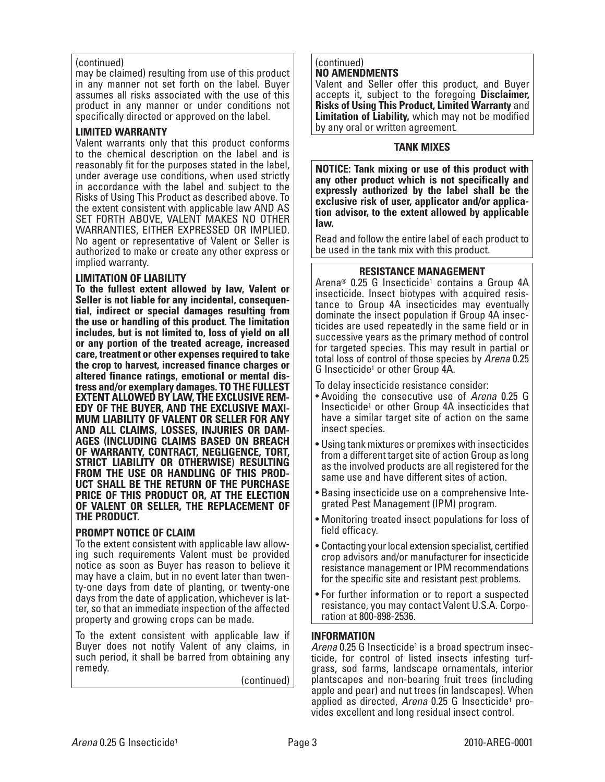#### (continued)

may be claimed) resulting from use of this product in any manner not set forth on the label. Buyer assumes all risks associated with the use of this product in any manner or under conditions not specifically directed or approved on the label.

#### **LIMITED WARRANTY**

Valent warrants only that this product conforms to the chemical description on the label and is reasonably fit for the purposes stated in the label, under average use conditions, when used strictly in accordance with the label and subject to the Risks of Using This Product as described above. To the extent consistent with applicable law AND AS SET FORTH ABOVE, VALENT MAKES NO OTHER WARRANTIES, EITHER EXPRESSED OR IMPLIED. No agent or representative of Valent or Seller is authorized to make or create any other express or implied warranty.

#### **LIMITATION OF LIABILITY**

**To the fullest extent allowed by law, Valent or Seller is not liable for any incidental, consequential, indirect or special damages resulting from the use or handling of this product. The limitation includes, but is not limited to, loss of yield on all or any portion of the treated acreage, increased care, treatment or other expenses required to take the crop to harvest, increased finance charges or altered finance ratings, emotional or mental distress and/or exemplary damages. TO THE FULLEST EXTENT ALLOWED BY LAW, THE EXCLUSIVE REM-EDY OF THE BUYER, AND THE EXCLUSIVE MAXI-MUM LIABILITY OF VALENT OR SELLER FOR ANY AND ALL CLAIMS, LOSSES, INJURIES OR DAM-AGES (INCLUDING CLAIMS BASED ON BREACH OF WARRANTY, CONTRACT, NEGLIGENCE, TORT, STRICT LIABILITY OR OTHERWISE) RESULTING FROM THE USE OR HANDLING OF THIS PROD-UCT SHALL BE THE RETURN OF THE PURCHASE PRICE OF THIS PRODUCT OR, AT THE ELECTION OF VALENT OR SELLER, THE REPLACEMENT OF THE PRODUCT.**

# **PROMPT NOTICE OF CLAIM**

To the extent consistent with applicable law allowing such requirements Valent must be provided notice as soon as Buyer has reason to believe it may have a claim, but in no event later than twenty-one days from date of planting, or twenty-one days from the date of application, whichever is latter, so that an immediate inspection of the affected property and growing crops can be made.

To the extent consistent with applicable law if Buyer does not notify Valent of any claims, in such period, it shall be barred from obtaining any remedy.

(continued)

#### (continued) **NO AMENDMENTS**

Valent and Seller offer this product, and Buyer accepts it, subject to the foregoing **Disclaimer, Risks of Using This Product, Limited Warranty** and **Limitation of Liability,** which may not be modified by any oral or written agreement.

#### **TANK MIXES**

**NOTICE: Tank mixing or use of this product with any other product which is not specifically and expressly authorized by the label shall be the exclusive risk of user, applicator and/or application advisor, to the extent allowed by applicable law.**

Read and follow the entire label of each product to be used in the tank mix with this product.

#### **RESISTANCE MANAGEMENT**

Arena® 0.25 G Insecticide<sup>1</sup> contains a Group 4A insecticide. Insect biotypes with acquired resistance to Group 4A insecticides may eventually dominate the insect population if Group 4A insecticides are used repeatedly in the same field or in successive years as the primary method of control for targeted species. This may result in partial or total loss of control of those species by Arena 0.25 G Insecticide1 or other Group 4A.

To delay insecticide resistance consider:

- Avoiding the consecutive use of Arena 0.25 G Insecticide1 or other Group 4A insecticides that have a similar target site of action on the same insect species.
- Using tank mixtures or premixes with insecticides from a different target site of action Group as long as the involved products are all registered for the same use and have different sites of action.
- Basing insecticide use on a comprehensive Integrated Pest Management (IPM) program.
- Monitoring treated insect populations for loss of field efficacy.
- Contacting your local extension specialist, certified crop advisors and/or manufacturer for insecticide resistance management or IPM recommendations for the specific site and resistant pest problems.
- For further information or to report a suspected resistance, you may contact Valent U.S.A. Corporation at 800-898-2536.

#### **INFORMATION**

Arena 0.25 G Insecticide<sup>1</sup> is a broad spectrum insecticide, for control of listed insects infesting turfgrass, sod farms, landscape ornamentals, interior plantscapes and non-bearing fruit trees (including apple and pear) and nut trees (in landscapes). When applied as directed, Arena 0.25 G Insecticide<sup>1</sup> provides excellent and long residual insect control.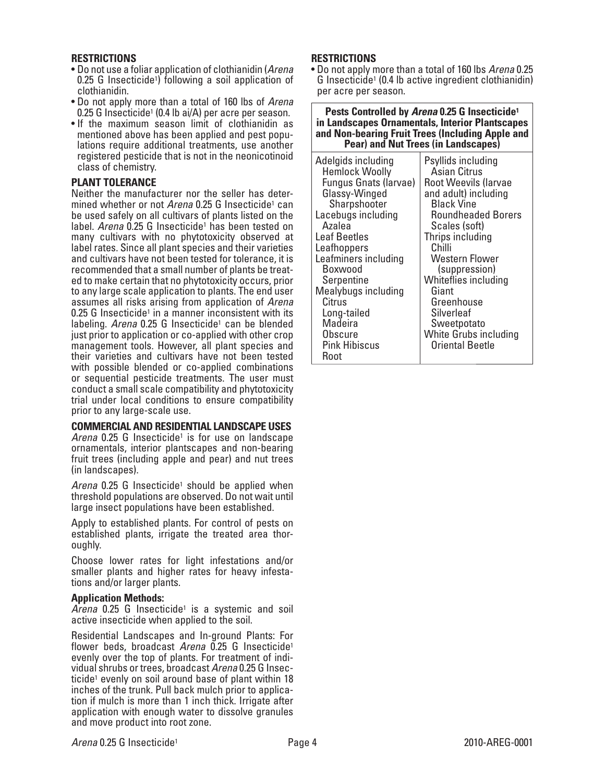#### **RESTRICTIONS**

- Do not use a foliar application of clothianidin (Arena 0.25 G Insecticide1) following a soil application of clothianidin.
- Do not apply more than a total of 160 lbs of Arena 0.25 G Insecticide<sup>1</sup> (0.4 lb ai/A) per acre per season.
- If the maximum season limit of clothianidin as mentioned above has been applied and pest populations require additional treatments, use another registered pesticide that is not in the neonicotinoid class of chemistry.

#### **PLANT TOLERANCE**

Neither the manufacturer nor the seller has determined whether or not Arena 0.25 G Insecticide<sup>1</sup> can be used safely on all cultivars of plants listed on the label. Arena 0.25 G Insecticide<sup>1</sup> has been tested on many cultivars with no phytotoxicity observed at label rates. Since all plant species and their varieties and cultivars have not been tested for tolerance, it is recommended that a small number of plants be treated to make certain that no phytotoxicity occurs, prior to any large scale application to plants. The end user assumes all risks arising from application of Arena  $0.25$  G Insecticide<sup>1</sup> in a manner inconsistent with its labeling. Arena 0.25 G Insecticide<sup>1</sup> can be blended just prior to application or co-applied with other crop management tools. However, all plant species and their varieties and cultivars have not been tested with possible blended or co-applied combinations or sequential pesticide treatments. The user must conduct a small scale compatibility and phytotoxicity trial under local conditions to ensure compatibility prior to any large-scale use.

#### **COMMERCIAL AND RESIDENTIAL LANDSCAPE USES**

Arena  $0.25$  G Insecticide<sup>1</sup> is for use on landscape ornamentals, interior plantscapes and non-bearing fruit trees (including apple and pear) and nut trees (in landscapes).

Arena  $0.25$  G Insecticide<sup>1</sup> should be applied when threshold populations are observed. Do not wait until large insect populations have been established.

Apply to established plants. For control of pests on established plants, irrigate the treated area thoroughly.

Choose lower rates for light infestations and/or smaller plants and higher rates for heavy infestations and/or larger plants.

#### **Application Methods:**

 $A$ rena 0.25 G Insecticide<sup>1</sup> is a systemic and soil active insecticide when applied to the soil.

Residential Landscapes and In-ground Plants: For flower beds, broadcast Arena  $0.25$  G Insecticide<sup>1</sup> evenly over the top of plants. For treatment of individual shrubs or trees, broadcast Arena 0.25 G Insecticide<sup>1</sup> evenly on soil around base of plant within 18 inches of the trunk. Pull back mulch prior to application if mulch is more than 1 inch thick. Irrigate after application with enough water to dissolve granules and move product into root zone.

#### **RESTRICTIONS**

• Do not apply more than a total of 160 lbs Arena 0.25 G Insecticide1 (0.4 lb active ingredient clothianidin) per acre per season.

**Pests Controlled by** *Arena* **0.25 G Insecticide1 in Landscapes Ornamentals, Interior Plantscapes and Non-bearing Fruit Trees (Including Apple and Pear) and Nut Trees (in Landscapes)**

| Adelgids including<br><b>Hemlock Woolly</b><br>Fungus Gnats (larvae)<br>Glassy-Winged<br>Sharpshooter<br>Lacebugs including<br>Azalea<br><b>Leaf Beetles</b><br>Leafhoppers<br>Leafminers including<br>Boxwood<br>Serpentine<br>Mealybugs including<br>Citrus<br>Long-tailed<br>Madeira<br>Obscure<br><b>Pink Hibiscus</b><br>Root | Psyllids including<br>Asian Citrus<br><b>Root Weevils (larvae</b><br>and adult) including<br><b>Black Vine</b><br><b>Roundheaded Borers</b><br>Scales (soft)<br>Thrips including<br>Chilli<br>Western Flower<br>(suppression)<br>Whiteflies including<br>Giant<br>Greenhouse<br>Silverleaf<br>Sweetpotato<br>White Grubs including<br><b>Oriental Beetle</b> |
|------------------------------------------------------------------------------------------------------------------------------------------------------------------------------------------------------------------------------------------------------------------------------------------------------------------------------------|--------------------------------------------------------------------------------------------------------------------------------------------------------------------------------------------------------------------------------------------------------------------------------------------------------------------------------------------------------------|
|------------------------------------------------------------------------------------------------------------------------------------------------------------------------------------------------------------------------------------------------------------------------------------------------------------------------------------|--------------------------------------------------------------------------------------------------------------------------------------------------------------------------------------------------------------------------------------------------------------------------------------------------------------------------------------------------------------|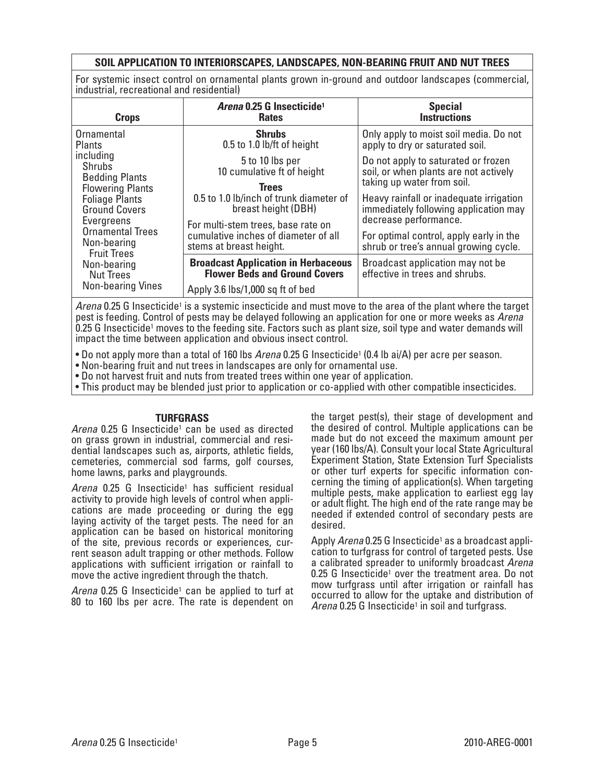# **SOIL APPLICATION TO INTERIORSCAPES, LANDSCAPES, NON-BEARING FRUIT AND NUT TREES**

For systemic insect control on ornamental plants grown in-ground and outdoor landscapes (commercial, industrial, recreational and residential)

| <b>Crops</b>                                                                                                                                                                                                          | Arena 0.25 G Insecticide <sup>1</sup><br><b>Rates</b>                                                 | <b>Special</b><br><b>Instructions</b>                                                                          |
|-----------------------------------------------------------------------------------------------------------------------------------------------------------------------------------------------------------------------|-------------------------------------------------------------------------------------------------------|----------------------------------------------------------------------------------------------------------------|
| Ornamental<br><b>Plants</b>                                                                                                                                                                                           | <b>Shrubs</b><br>0.5 to 1.0 lb/ft of height                                                           | Only apply to moist soil media. Do not<br>apply to dry or saturated soil.                                      |
| including<br><b>Shrubs</b><br><b>Bedding Plants</b>                                                                                                                                                                   | 5 to 10 lbs per<br>10 cumulative ft of height                                                         | Do not apply to saturated or frozen<br>soil, or when plants are not actively                                   |
| <b>Flowering Plants</b><br><b>Foliage Plants</b><br><b>Ground Covers</b><br>Evergreens<br><b>Ornamental Trees</b><br>Non-bearing<br><b>Fruit Trees</b><br>Non-bearing<br><b>Nut Trees</b><br><b>Non-bearing Vines</b> | <b>Trees</b><br>0.5 to 1.0 lb/inch of trunk diameter of<br>breast height (DBH)                        | taking up water from soil.<br>Heavy rainfall or inadequate irrigation<br>immediately following application may |
|                                                                                                                                                                                                                       | For multi-stem trees, base rate on<br>cumulative inches of diameter of all<br>stems at breast height. | decrease performance.<br>For optimal control, apply early in the<br>shrub or tree's annual growing cycle.      |
|                                                                                                                                                                                                                       | <b>Broadcast Application in Herbaceous</b><br><b>Flower Beds and Ground Covers</b>                    | Broadcast application may not be<br>effective in trees and shrubs.                                             |
|                                                                                                                                                                                                                       | Apply 3.6 lbs/1,000 sq ft of bed                                                                      |                                                                                                                |

Arena 0.25 G Insecticide<sup>1</sup> is a systemic insecticide and must move to the area of the plant where the target pest is feeding. Control of pests may be delayed following an application for one or more weeks as Arena 0.25 G Insecticide1 moves to the feeding site. Factors such as plant size, soil type and water demands will impact the time between application and obvious insect control.

• Do not apply more than a total of 160 lbs Arena 0.25 G Insecticide<sup>1</sup> (0.4 lb ai/A) per acre per season.

• Non-bearing fruit and nut trees in landscapes are only for ornamental use.

• Do not harvest fruit and nuts from treated trees within one year of application.

• This product may be blended just prior to application or co-applied with other compatible insecticides.

#### **TURFGRASS**

Arena 0.25 G Insecticide<sup>1</sup> can be used as directed on grass grown in industrial, commercial and residential landscapes such as, airports, athletic fields, cemeteries, commercial sod farms, golf courses, home lawns, parks and playgrounds.

Arena 0.25 G Insecticide<sup>1</sup> has sufficient residual activity to provide high levels of control when applications are made proceeding or during the egg laying activity of the target pests. The need for an application can be based on historical monitoring of the site, previous records or experiences, current season adult trapping or other methods. Follow applications with sufficient irrigation or rainfall to move the active ingredient through the thatch.

Arena 0.25 G Insecticide<sup>1</sup> can be applied to turf at 80 to 160 lbs per acre. The rate is dependent on

the target pest(s), their stage of development and the desired of control. Multiple applications can be made but do not exceed the maximum amount per year (160 lbs/A). Consult your local State Agricultural Experiment Station, State Extension Turf Specialists or other turf experts for specific information concerning the timing of application(s). When targeting multiple pests, make application to earliest egg lay or adult flight. The high end of the rate range may be needed if extended control of secondary pests are desired.

Apply Arena 0.25 G Insecticide<sup>1</sup> as a broadcast application to turfgrass for control of targeted pests. Use a calibrated spreader to uniformly broadcast Arena 0.25 G Insecticide<sup>1</sup> over the treatment area. Do not mow turfgrass until after irrigation or rainfall has occurred to allow for the uptake and distribution of Arena 0.25 G Insecticide<sup>1</sup> in soil and turfgrass.